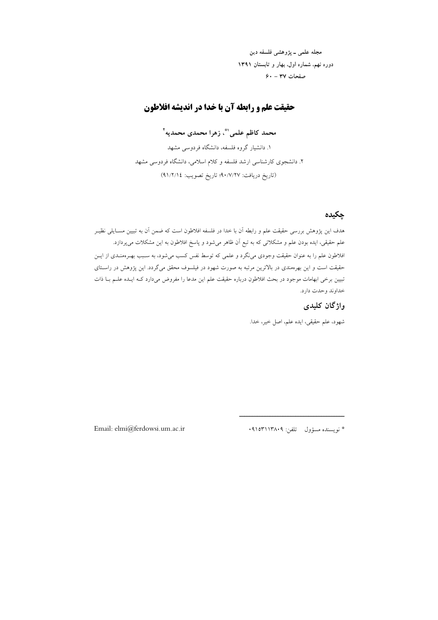مجله علمي ــ پژوهشي فلسفه دين دوره نهم، شماره اول، بهار و تابستان ١٣٩١  $9. - 44$  صفحات

## حقیقت علم و رابطه آن با خدا در اندیشه افلاطون

محمد كاظم علمي`"ْ، زهرا محمدي محمديه<sup>٢</sup>

۱. دانشیار گروه فلسفه، دانشگاه فردوسی مشهد ۲. دانشجوی کارشناسی ارشد فلسفه و کلام اسلامی، دانشگاه فردوسی مشهد (تاريخ دريافت: ٩٠/٧/٢٧؛ تاريخ تصويب: ٤١/٢/١٤)

# حكىدە

.<br>هدف این یژوهش بررسی حقیقت علم و رابطه آن با خدا در فلسفه افلاطون است که ضمن آن به تبیین مســایلی نظیــر علم حقیقی، ایده بودن علم و مشکلاتی که به تبع اَن ظاهر میشود و پاسخ افلاطون به این مشکلات میپردازد. .<br>افلاطون علم را به عنوان حقیقت وجودی می نگرد و علمی که توسط نفس کسب می شود، به سـبب بهـرممنـدی از ایــن حقیقت است و این بهرهمندی در بالاترین مرتبه به صورت شهود در فیلسوف محقق می گردد. این پژوهش در راسـتای تبیین برخی ابهامات موجود در بحث افلاطون درباره حقیقت علم این مدعا را مفروض میدارد کـه ایـده علــم بــا ذات خداوند وحدت دارد.

## واژگان كليدى

شهود، علم حقیقی، ایده علم، اصل خیر، خدا.

Email: elmi@ferdowsi.um.ac.ir

\* نويسنده مسؤول \_ تلفن: ٠٩١٥٣١١٣٨٠٩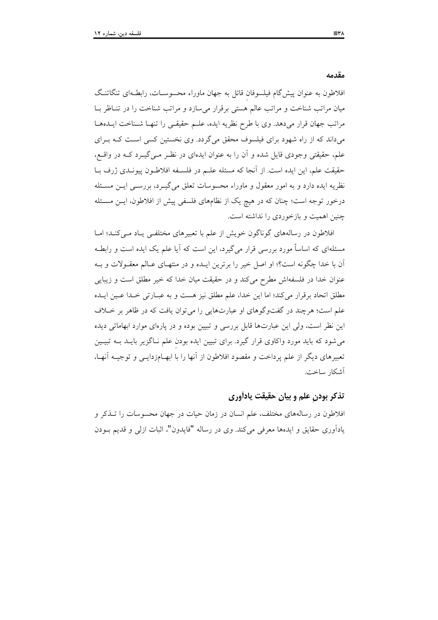مقدمه

افلاطون به عنوان پیش گام فیلسوفان قائل به جهان ماوراء محسوسـات، رابطـهای تنگاتنـگ میان مراتب شناخت و مراتب عالم هستی برقرار می سازد و مراتب شناخت را در تنـاظر بـا مراتب جهان قرار مى دهد. وى با طرح نظريه ايده، علىم حقيقى را تنهـا شـناخت ايــدهمـا میداند که از راه شهود برای فیلسوف محقق میگردد. وی نخستین کسی است کـه بـرای علم، حقیقتی وجودی قایل شده و آن را به عنوان ایدهای در نظـر مـی گیــرد کــه در واقــع، حقيقت علم، اين ايده است. از آنجا كه مسئله علـم در فلسـفه افلاطـون پيونـدي ژرف بـا نظریه ایده دارد و به امور معقول و ماوراء محسوسات تعلق میگیـرد، بررســی ایــن مسـئله درخور توجه است؛ چنان که در هیچ یک از نظامهای فلسفی پیش از افلاطون، ایــن مســئله چنین اهمیت و بازخوردی را نداشته است.

افلاطون در رسالههای گوناگون خویش از علم با تعبیرهای مختلفـی یـاد مـیکنـد؛ امـا مسئلهای که اساساً مورد بررسی قرار میگیرد، این است که آیا علم یک ایده است و رابطـه اّن با خدا چگونه است؟؛ او اصل خبر را برترین ایـده و در منتهـای عـالم معقـولات و بـه عنوان خدا در فلسفهاش مطرح می کند و در حقیقت میان خدا که خیر مطلق است و زیبایی مطلق اتحاد برقرار می کند؛ اما این خدا، علم مطلق نیز هست و به عبیارتی خیدا عیین اییده علم است؛ هرچند در گفتوگوهای او عبارتهایی را می توان یافت که در ظاهر بر خیلاف این نظر است، ولی این عبارتها قابل بررسی و تبیین بوده و در پارهای موارد ابهاماتی دیده می شود که باید مورد واکاوی قرار گیرد. برای تبیین ایده بودن علم نـاگزیر بایــد بــه تبیــین تعبیرهای دیگر از علم پرداخت و مقصود افلاطون از آنها را با ابهــامزدایــی و توجیــه آنهـا، آشكار ساخت.

### تذکر بودن علم و بیان حقیقت یادآوری

افلاطون در رسالههای مختلف، علم انسان در زمان حیات در جهان محسوسات را تــذکر و يادآوري حقايق و ايدهها معرفي مي كند. وي در رساله "فايدون"، اثبات ازلي و قديم بـودن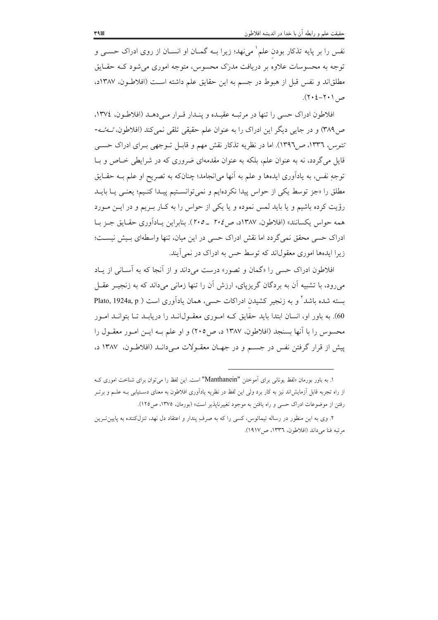نفس را بر پایه تذکار بودن علم` میفهد؛ زیرا بــه گمــان او انســان از روی ادراک حســی و توجه به محسوسات علاوه بر دریافت مدرک محسوس، متوجه اموری می شود کــه حقـایق مطلقاند و نفس قبل از هبوط در جسم به این حقایق علم داشته است (افلاطـون، ۱۳۸۷د،  $(7.2 - 7.1)$ .

افلاطون ادراک حسی را تنها در مرتبـه عقیـده و پنـدار قـرار مـیدهـد (افلاطـون، ١٣٧٤، ص ٣٨٩) و در جايي ديگر اين ادراک را به عنوان علم حقيقي تلقي نمي کند (افلاطون، تــهـُــه-تتوس، ١٣٣٦، ص١٣٩٦). اما در نظريه تذكار نقش مهم و قابـل تــوجهي بــراي ادراك حســي قایل میگردد، نه به عنوان علم، بلکه به عنوان مقدمهای ضروری که در شرایطی خـاص و بـا توجهِ نفس، به یادآوری ایدهها و علم به آنها می|نجامد؛ چنانکه به تصریح او علم بــه حقــایق مطلق را «جز توسط یکی از حواس پیدا نکردهایم و نمی توانسـتیم پیـدا کنـیم؛ یعنـی یـا بایـد رؤیت کرده باشیم و یا باید لمس نموده و یا یکی از حواس را به کـار بـریم و در ایــن مــورد همه حواس يكسانند» (افلاطون، ١٣٨٧د، ص٢٠٤ \_ ٢٠٥). بنابراين يـادآوري حقـايق جـز بـا ادراک حسی محقق نمیگردد اما نقش ادراک حسی در این میان، تنها واسطهای بـیش نیســت؛ زیرا ایدهها اموری معقولاند که توسط حس به ادراک در نمی آیند.

افلاطون ادراک حسی را «گمان و تصور» درست می داند و از آنجا که به آسـانی از پـاد میرود، با تشبیه آن به بردگان گریزیای، ارزش آن را تنها زمانی میداند که به زنجیـر عقـل بسته شده باشد ً و به زنجیر کشیدن ادراکات حسبی، همان یادآوری است ( Plato, 1924a, p 60). به باور او، انسان ابتدا باید حقایق کـه امـوری معقـول\نـد را دریابـد تـا بتوانـد امـور محسوس را با آنها بسنجد (افلاطون، ۱۳۸۷ د، ص۲۰۵) و او علم بـه ايــن امــور معقــول را پیش از قرار گرفتن نفس در جسم و در جهـان معقـولات مـیدانــد (افلاطـون، ۱۳۸۷ د،

۱. به باور بورمان «لفظ یونانی برای اَموختن "Manthanein" است. این لفظ را میتوان برای شناخت اموری ک از راه تجربه قابل آزمایشlند نیز به کار برد ولی این لفظ در نظریه یادآوری افلاطون به معنای دسـتیابی بــه علــم و برتــر رفتن از موضوعات ادراک حسی و راه یافتن به موجود تغییرناپذیر است» (بورمان، ۱۳۷۵، ص۱۲۵).

۲. وی به این منظور در رساله تیمائوس، کسی را که به صرف پندار و اعتقاد دل نهد، تنزلکننده به پایین تـرین مرتبه فنا مي داند (افلاطون، ١٣٣٦، ص١٩١٧).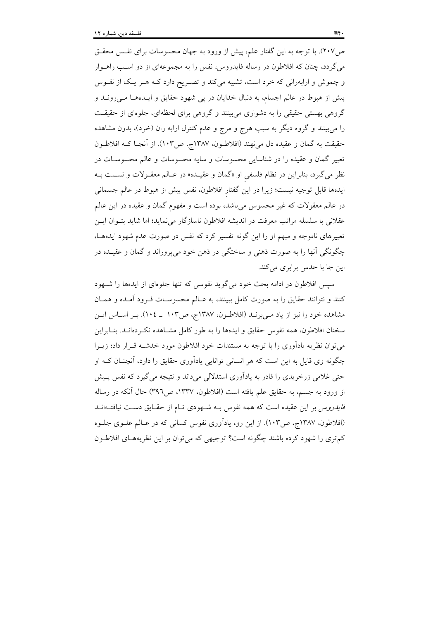ص۲۰۷). با توجه به این گفتار علم، پیش از ورود به جهان محسوسات برای نفـس محقـق میگردد، چنان که افلاطون در رساله فایدروس، نفس را به مجموعهای از دو اسب راهــوار و چموش و ارابهرانی که خرد است، تشبیه میکند و تصـریح دارد کــه هــر یــک از نفــوس پیش از هبوط در عالم اجسام، به دنبال خدایان در پی شهود حقایق و ایـدههـا مـیرونـد و گروهی بهستی حقیقی را به دشواری میبینند و گروهی برای لحظهای، جلوهای از حقیقت را می بینند و گروه دیگر به سبب هرج و مرج و عدم کنترل ارابه ران (خرد)، بدون مشاهده حقيقت به گمان و عقيده دل مي نهند (افلاطـون، ١٣٨٧ج، ص١٠٣). از آنجـا كــه افلاطـون تعبیر گمان و عقیده را در شناسایی محسوسات و سایه محسوسات و عالم محسوسـات در نظر میگیرد، بنابراین در نظام فلسفی او «گمان و عقیـده» در عـالم معقـولات و نسـبت بــه ايدهها قابل توجيه نيست؛ زيرا در اين گفتار افلاطون، نفس پيش از هبوط در عالم جسماني در عالم معقولات که غیر محسوس میباشد، بوده است و مفهوم گمان و عقیده در این عالم عقلانی با سلسله مراتب معرفت در اندیشه افلاطون ناسازگار می نماید؛ اما شاید بتـوان ایـن تعبیرهای ناموجه و مبهم او را این گونه تفسیر کرد که نفس در صورت عدم شهود ایدههـا، چگونگی آنها را به صورت ذهنی و ساختگی در ذهن خود می پروراند و گمان و عقیـده در این جا با حدس برابری میکند.

سپس افلاطون در ادامه بحث خود می گوید نفوسی که تنها جلوهای از ایدهها را شـهود كنند و نتوانند حقايق را به صورت كامل ببينند، به عـالـم محسوسـات فـرود آمـده و همـان مشاهده خود را نیز از یاد مےبرنـد (افلاطـون، ۱۳۸۷ج، ص۱۰۳ ـ ۱۰۴). بـر اسـاس ایـن سخنان افلاطون، همه نفوس حقایق و ایدهها را به طور کامل مشـاهده نکـردهانـد. بنـابراین می توان نظریه یادآوری را با توجه به مستندات خود افلاطون مورد خدشـه قـرار داد؛ زیـرا چگونه وي قايل به اين است كه هر انساني توانايي يادآوري حقايق را دارد، آنچنــان كــه او حتی غلامی زرخریدی را قادر به یادآوری استدلالی میداند و نتیجه می گیرد که نفس پـیش از ورود به جسم، به حقایق علم یافته است (افلاطون، ۱۳۳۷، ص۳۹٦) حال آنکه در رساله فایدروس بر این عقیده است که همه نفوس بـه شـهودی تـام از حقـایق دسـت نیافتـهانـد (افلاطون، ۱۳۸۷ج، ص۱۰۳). از این رو، یادآوری نفوس کسانی که در عـالم علـوی جلـوه کم تری را شهود کرده باشند چگونه است؟ توجیهی که می توان بر این نظریههـای افلاطـون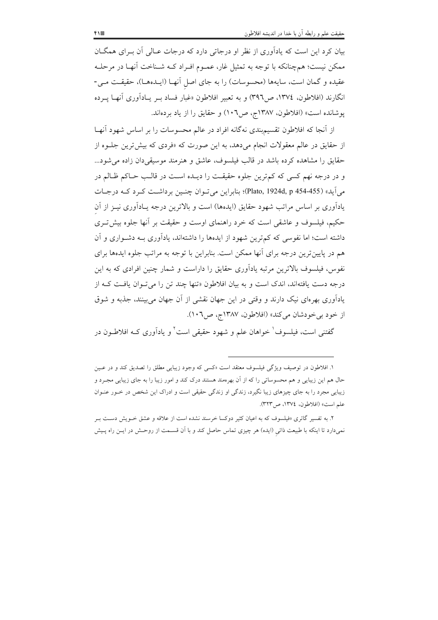بیان کرد این است که پادآوری از نظر او درجاتی دارد که درجات عـالی آن بـرای همگــان ممکن نیست؛ همچنانکه با توجه به تمثیل غار، عمـوم افـراد کـه شـناخت آنهـا در مرحلـه عقیده و گمان است، سایهها (محسوسات) را به جای اصل آنهـا (ایـدههـا)، حقیقـت مـی-انگارند (افلاطون، ١٣٧٤، ص٣٩٦) و به تعبير افلاطون «غبار فساد بــر يــاداّوري آنهـا پــرده پوشانده است» (افلاطون، ۱۳۸۷ج، ص۱۰٦) و حقایق را از یاد بردهاند.

از آنجا که افلاطون تقسیمبندی نهگانه افراد در عالم محسوسات را بر اساس شهود آنهـا از حقایق در عالم معقولات انجام می دهد، به این صورت که «فردی که بیش ترین جلوه از حقایق را مشاهده کرده باشد در قالب فیلسوف، عاشق و هنرمند موسیقی دان زاده می شود... و در درجه نهم کسی که کمترین جلوه حقیقت را دیـده اسـت در قالـب حـاکم ظـالم در مي آيد» (Plato, 1924d, p 454-455)؛ بنابراين مي تـوان چنـين برداشـت كـرد كـه درجـات یادآوری بر اساس مراتب شهود حقایق (ایدهها) است و بالاترین درجه یـادآوری نیــز از آن حکیم، فیلسوف و عاشقی است که خرد راهنمای اوست و حقیقت بر آنها جلوه بیش تـری داشته است؛ اما نفوسی که کم ترین شهود از ایدهها را داشتهاند، یادآوری بـه دشـواری و آن هم در پایینتر ین درجه برای آنها ممکن است. بنابراین با توجه به مراتب جلوه ایدهها برای نفوس، فیلسوف بالاترین مرتبه یادآوری حقایق را داراست و شمار چنین افرادی که به این درجه دست یافتهاند، اندک است و به بیان افلاطون «تنها چند تن را می تـوان یافـت کـه از یادآوری بهرمای نیک دارند و وقتی در این جهان نقشی از آن جهان می بینند، جذبه و شوق از خود بی خودشان میکند» (افلاطون، ۱۳۸۷ج، ص۱۰٦).

گفتنی است، فیلسوف ٰ خواهان علم و شهود حقیقی است ٗ و یادآوری کــه افلاطــون در

۱. افلاطون در توصیف ویژگی فیلسوف معتقد است «کسی که وجود زیبایی مطلق را تصدیق کند و در عـین حال هم این زیبایی و هم محسوساتی را که از آن بهرهمند هستند درک کند و امور زیبا را به جای زیبایی مجـرد و زیبایی مجرد را به جای چیزهای زیبا نگیرد، زندگی او زندگی حقیقی است و ادراک این شخص در خــور عنـوان علم است» (افلاطون، ١٣٧٤، ص٣٢٣).

۲. به تفسیر گاتری «فیلسوف که به اعیان کثیر دوکسا خرسند نشده است از علاقه و عشق خـویش دسـت بـر نمیدارد تا اینکه با طبیعت ذاتی (ایده) هر چیزی تماس حاصل کند و با آن قسـمت از روحـش در ایــن راه پــیش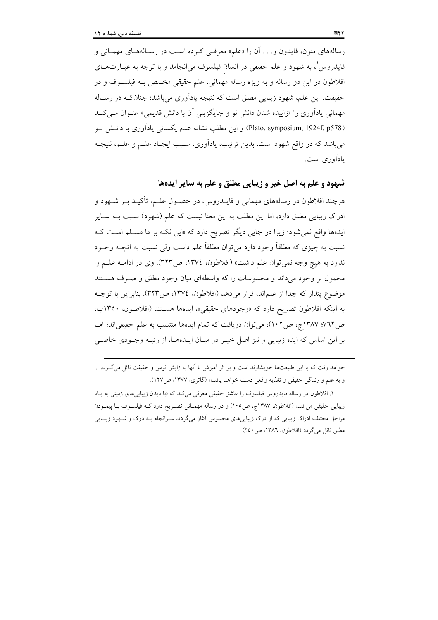رسالههای منون، فایدون و. . . آن را «علم» معرفی کرده است در رسـالههـای مهمـانی و فایدروس'، به شهود و علم حقیقی در انسان فیلسوف می|نجامد و با توجه به عبــارتهــای افلاطون در این دو رساله و به ویژه رساله مهمانی، علم حقیقی مختص بـه فیلسـوف و در حقيقت، اين علم، شهود زيبايي مطلق است كه نتيجه يادآوري مي باشد؛ چنان كـه در رسـاله مهمانی پادآوری را «زاییده شدن دانش نو و جایگزینی آن با دانش قدیمی» عنبوان مبے کنید (Plato, symposium, 1924f, p578) و این مطلب نشانه عدم یکسانی یادآوری با دانــش نــو می باشد که در واقع شهود است. بدین ترتیب، یادآوری، سـبب ایجـاد علـم و علـم، نتیجـه یادآوری است.

شبهود و علم به اصل خير و زيبايي مطلق و علم به ساير ايدهها

هرچند افلاطون در رسالههای مهمانی و فایــدروس، در حصــول علــم، تأکیــد بــر شــهود و ادراک زیبایی مطلق دارد، اما این مطلب به این معنا نیست که علم (شهود) نسبت بــه ســایر ایدهها واقع نمی شود؛ زیرا در جایبی دیگر تصریح دارد که «این نکته بر ما مسـلم اسـت کـه نسبت به چیزی که مطلقاً وجود دارد می توان مطلقاً علم داشت ولی نسبت به آنچــه وجــود ندارد به هیچ وجه نمیتوان علم داشت» (افلاطون، ١٣٧٤، ص٣٢٣). وی در ادامـه علـم را محمول بر وجود میداند و محسوسات را که واسطهای میان وجود مطلق و صـرف هسـتند موضوع يندار كه جدا از علماند، قرار مي دهد (افلاطون، ١٣٧٤، ص٣٢٣). بنابراين با توجـه به اینکه افلاطون تصریح دارد که «وجودهای حقیقی»، ایدهها هستند (افلاطون، ۱۳۵۰ب، ص١٣٨٧؛ ١٣٨٧ج، ص١٠٢)، مي توان دريافت كه تمام ايدهها منتسب به علم حقيقي إند؛ امــا بر این اساس که ایده زیبایی و نیز اصل خیـر در میـان ایـدههـا، از رتبـه وجـودی خاصـی

خواهد رفت که با این طبیعتها خویشاوند است و بر اثر آمیزش با آنها به زایش نوس و حقیقت نائل می گـردد ... و به علم و زندگی حقیقی و تغذیه واقعی دست خواهد یافت» (گاتری، ۱۳۷۷، ص۱۲۷).

١. افلاطون در رساله فايدروس فيلسوف را عاشق حقيقى معرفي مي كند كه «با ديدن زيبايي هاي زميني به يباد زيبايي حقيقي مي|فتد» (افلاطون، ١٣٨٧ج، ص١٠٥) و در رساله مهمـاني تصـريح دارد كـه فيلســوف بــا پيمــودن مراحل مختلف ادراک زیبایی که از درک زیباییهای محسوس آغاز میگردد، سـرانجام بـه درک و شـهود زیبـایی مطلق نائل مي گردد (افلاطون، ١٣٨٦، ص ٢٥٠).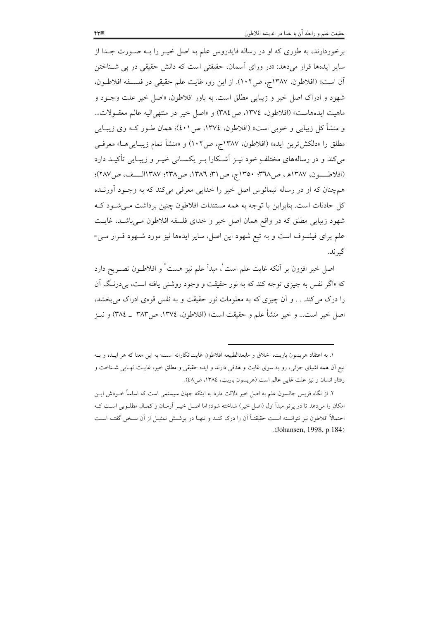برخوردارند، به طوری که او در رساله فایدروس علم به اصل خیــر را بــه صــورت جــدا از سایر ایدهها قرار میدهد: «در ورای اَسمان، حقیقتی است که دانش حقیقی در پی شــناختن اّن است» (افلاطون، ۱۳۸۷ج، ص۱۰۲). از این رو، غایت علم حقیقی در فلسـفه افلاطـون، شهود و ادراک اصل خیر و زیبایی مطلق است. به باور افلاطون، «اصل خیر علت وجـود و ماهيت ايدههاست» (افلاطون، ١٣٧٤، ص٢٨٤) و «اصل خير در منتهى اليه عالم معقـولات... و منشأ كل زيبايي و خوبي است» (افلاطون، ١٣٧٤، ص١٠/)؛ همان طـور كــه وي زيبــايي مطلق را «دلكش ترين ايده» (افلاطون، ١٣٨٧ج، ص١٠٢) و «منشأ تمام زيبـايي هــا» معرفــي می کند و در رسالههای مختلف خود نیـز اَشـکارا بـر یکســانی خیـر و زیبـایی تأکیــد دارد (افلاطـــون، ١٣٨٧هـ، ص١٣٨٧: ١٣٥٠ج، ص ٣١: ١٣٨٦، ص١٣٨٧: ١١٣٨٧الـــف، ص ٢٨٧)؛ همچنان که او در رساله تیمائوس اصل خیر را خدایی معرفی میکند که به وجـود آورنـده کل حادثات است. بنابراین با توجه به همه مستندات افلاطون چنین برداشت مے شـود کـه شهود زیبایی مطلق که در واقع همان اصل خیر و خدای فلسفه افلاطون مـیباشـد، غایـت علم برای فیلسوف است و به تبع شهود این اصل، سایر ایدهها نیز مورد شـهود قـرار مـی-گير ند.

اصل خیر افزون بر آنکه غایت علم است<sup>'</sup>، مبدأ علم نیز هست<sup>۲</sup> و افلاطـون تصـر یح دارد که «اگر نفس به چیزی توجه کند که به نور حقیقت و وجود روشنی یافته است، ب<sub>ی</sub> درنـگ آن را درک می کند. . . و آن چیزی که به معلومات نور حقیقت و به نفس قومی ادراک می بخشد، اصل خير است… و خير منشأ علم و حقيقت است» (افلاطون، ١٣٧٤، ص٣٨٣ ـ ٣٨٤) و نيــز

١. به اعتقاد هريسون باربت، اخلاق و مابعدالطبيعه افلاطون غايتانگارانه است؛ به اين معنا كه هر ايـده و بــه تبع آن همه اشیای جزئی، رو به سوی غایت و هدفی دارند و ایده حقیقی و مطلق خیر، غایـت نهـایی شـناخت و رفتار انسان و نيز علت غايي عالم است (هريسون باربت، ١٣٨٤، ص٤٨).

۲. از نگاه فریس جانسون علم به اصل خیر دلالت دارد به اینکه جهان سیستمی است که اساساً خــودش ایــن امکان را میدهد تا در پرتو مبدأ اول (اصل خیر) شناخته شود؛ اما اصـل خیـر آرمـان و کمـال مطلـوبـی اسـت کـه احتمالاً افلاطون نیز نتوانسته است حقیقتـاً آن را درک کنـد و تنهـا در پوشـش تمثیـل از آن سـخن گفتـه اسـت (Johansen, 1998, p 184)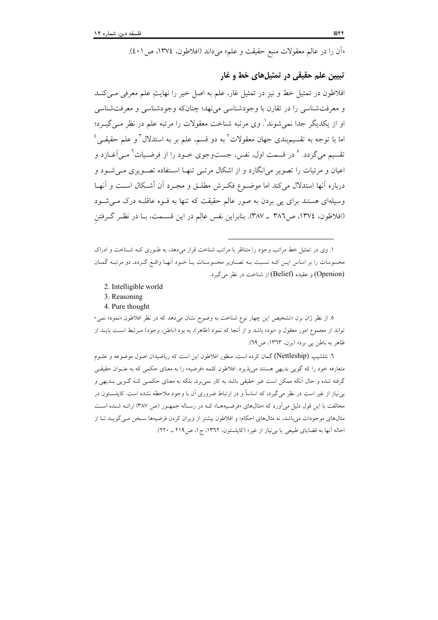«اَن را در عالم معقولات منبع حقیقت و علم» میداند (افلاطون، ١٣٧٤، ص ٤٠١).

### تبيين علم حقيقي در تمثيلهاي خط و غار

افلاطون در تمثیل خط و نیز در تمثیل غار، علم به اصل خیر را نهایت علم معرفی مے کنـد و معرفتشناسي را در تقارن با وجودشناسي مي نهد؛ چنانکه وجودشناسي و معرفتشناسي او از يكديگر جدا نمي شوند'. وي مرتبه شناخت معقولات را مرتبه علم در نظر مـي گيــرد؛ اما با توجه به تقسیم؛بندی جهان معقولات<sup>٬</sup> به دو قسم، علم بر به استدلال ؓ و علم حقیقــی ٔ تقسیم میگردد. ° در قسمت اول، نفس، جستوجوی خـود را از فرضـیات<sup>٦</sup> مـی آغــازد و اعیان و مرئیات را تصویر می|نگارد و از اشکال مرئـی تنهـا اسـتفاده تصـویری مـی شـود و درباره آنها استدلال مى كند اما موضــوع فكــرش مطلــق و مجــرد آن أشــكال اســت و آنهــا وسیلهای هستند برای یی بردن به صور عالم حقیقت که تنها به قـوه عاقلـه درک مـی شـود (افلاطون، ١٣٧٤، ص٣٨٦ \_ ٣٨٧). بنابراين نفس عالِم در اين قسـمت، بـا در نظـر گـرفتن

۱. وی در تمثیل خط مراتب وجود را متناظر با مراتب شناخت قرار میدهد، به طـوری کـه شـناخت و ادراک محسوسات را بر اساس ایــن کــه نســبت بــه تصــاویر محسوســات یــا خــود أنهــا واقــع گــردد، دو مرتبـه گمــان (Openion) و عقيده (Belief) از شناخت در نظر مي گيرد.

- 2. Intelligible world
- 3. Reasoning
- 4. Pure thought

٥. از نظر ژان برن «تشخيص اين چهار نوع شناخت به وضوح نشان مي دهد كه در نظر افلاطون «نمود» نمي-تواند از مجموع امور معقول و «بود» باشد و از آنجا که نمود (ظاهر)، به بود (باطن، وجود) مـرتبط اسـت بايــد از ظاهر به باطن پي برد» (برن، ١٣٦٣، ص٦٩).

٦. نتلشيپ (Nettleship) گمان كرده است، منظور افلاطون اين است كه رياضيدان اصول موضوعه و علــوم .<br>متعارفه خود را که گویی بدیهی هستند می پذیرد. افلاطون کلمه «فرضیه» را به معنای حکمی که به عنـوان حقیقـی گرفته شده و حال آنکه ممکن است غیر حقیقی باشد به کار نمیبرد، بلکه به معنای حکمـی کـه گــویی بــدیهی و بی نیاز از غیر است در نظر میگیرد، که اساساً و در ارتباط ضروری آن با وجود ملاحظه نشده است. کاپلسـتون در مخالفت با این قول دلیل میآورد که «مثالهای «فرضیههـا» کـه در رسـاله جمهـور (ص ۳۸۷) ارائـه شـده اسـت مثالهای موجودات می باشد، نه مثالهای احکام؛ و افلاطون بیشتر از ویران کردن فرضیهها سـخن مـی گویــد تــا از احاله آنها به قضایای طبیعی یا ب<sub>ی</sub>نیاز از غیر» (کاپلستون، ۱۳٦۲، ج۱، ص۲۱۹ ـ ۲۲۰).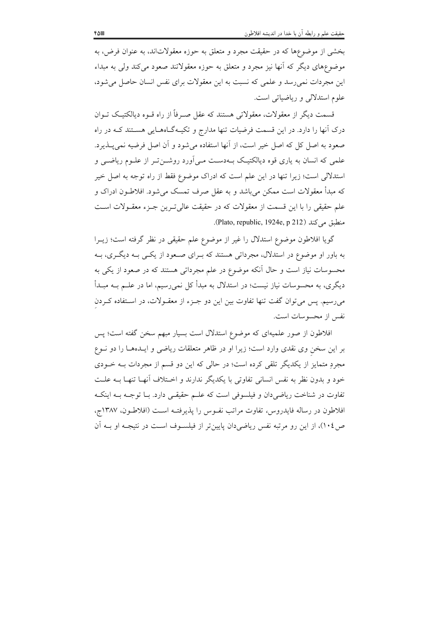بخشی از موضوعها که در حقیقت مجرد و متعلق به حوزه معقولاتاند، به عنوان فرض، به موضوعهای دیگر که آنها نیز مجرد و متعلق به حوزه معقولاتند صعود می کند ولی به مبداء این مجردات نمی رسد و علمی که نسبت به این معقولات برای نفس انسان حاصل میشود، علوم استدلالی و ریاضیاتی است.

قسمت دیگر از معقولات، معقولاتی هستند که عقل صـرفاً از راه قــوه دیالکتیـک تــوان درک آنها را دارد. در این قسمت فرضیات تنها مدارج و تکیـهگـاههـایی هسـتند کـه در راه صعود به اصل کل که اصل خیر است، از آنها استفاده می شود و آن اصل فرضیه نمی پـــذیرد. علمی که انسان به یاری قوه دیالکتیک بـهدسـت مـی|ورد روشــنتـر از علــوم ریاضــی و استدلالی است؛ زیرا تنها در این علم است که ادراک موضوع فقط از راه توجه به اصل خیر که مبدأ معقولات است ممکن می باشد و به عقل صرف تمسک می شود. افلاطـون ادراک و علم حقیقی را با این قسمت از معقولات که در حقیقت عالی تـرین جـزء معقـولات اسـت منطبق می کند (Plato, republic, 1924e, p 212).

گویا افلاطون موضوع استدلال را غیر از موضوع علم حقیقی در نظر گرفته است؛ زیــرا به باور او موضوع در استدلال، مجرداتی هستند که بـرای صـعود از یکـی بـه دیگـری، بـه محسوسات نیاز است و حال آنکه موضوع در علم مجرداتی هستند که در صعود از یکی به دیگری، به محسوسات نیاز نیست؛ در استدلال به مبدأ کل نمی٫رسیم، اما در علــم بــه مبــدأ میرسیم. پس می توان گفت تنها تفاوت بین این دو جـزء از معقـولات، در اسـتفاده كـردن نفس از محسوسات است.

افلاطون از صور علمیهای که موضوع استدلال است بسیار مبهم سخن گفته است؛ پس بر این سخن وی نقدی وارد است؛ زیرا او در ظاهر متعلقات ریاضی و ایــدههـا را دو نــوع مجردِ متمایز از یکدیگر تلقی کرده است؛ در حالی که این دو قسم از مجردات بــه خــودی خود و بدون نظر به نفس انسانی تفاوتی با یکدیگر ندارند و اخـتلاف آنهـا تنهـا بــه علــت تفاوت در شناخت ریاضی دان و فیلسوفی است که علـم حقیقـی دارد. بـا توجـه بـه اینکـه افلاطون در رساله فايدروس، تفاوت مراتب نفـوس را پذيرفتـه اسـت (افلاطـون، ١٣٨٧ج، ص ١٠٤)، از اين رو مرتبه نفس رياضي دان پايين تر از فيلسـوف اسـت در نتيجـه او بــه آن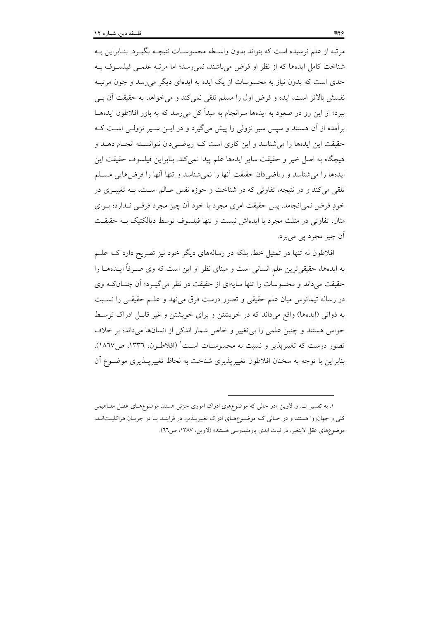مرتبه از علم نرسیده است که بتواند بدون واسـطه محسوسـات نتیجـه بگیــرد. بنــابراین بــه شناخت کامل ایدهها که از نظر او فرض میباشند، نمی رسد؛ اما مرتبه علمـی فیلسـوف بـه حدی است که بدون نیاز به محسوسات از یک ایده به ایدهای دیگر می رسد و چون مرتب نفسش بالاتر است، ایده و فرض اول را مسلم تلقی نمی کند و می خواهد به حقیقت اَن پــی ببرد؛ از این رو در صعود به ایدهها سرانجام به مبدأ کل می رسد که به باور افلاطون ایدههــا برآمده از آن هستند و سپس سیر نزولی را پیش میگیرد و در ایــن ســیر نزولــی اســت کــه حقیقت این ایدهها را می شناسد و این کاری است کـه ریاضـی دان نتوانسـته انجـام دهــد و هيچگاه به اصل خير و حقيقت ساير ايدهها علم پيدا نمي كند. بنابراين فيلسوف حقيقت اين ايدهها را مي شناسد و رياضي دان حقيقت آنها را نمي شناسد و تنها آنها را فرض هايي مســلم تلقی میکند و در نتیجه، تفاوتی که در شناخت و حوزه نفس عـالم اسـت، بــه تغییــری در خودِ فرض نمیِانجامد. پس حقیقت امری مجرد با خود اَن چیز مجرد فرقبی نـدارد؛ بـرای مثال، تفاوتی در مثلث مجرد با ایدهاش نیست و تنها فیلسوف توسط دیالکتیک بــه حقیقــت اَن چيز مجرد پي ميبرد.

افلاطون نه تنها در تمثیل خط، بلکه در رسالههای دیگر خود نیز تصریح دارد کــه علــم به ایدهها، حقیقیترین علم انسانی است و مبنای نظر او این است که وی صـرفاً ایــدههــا را حقیقت میداند و محسوسات را تنها سایهای از حقیقت در نظر می گیـرد؛ آن چنــانکـه وی در رساله تیمائوس میان علم حقیقی و تصور درست فرق می نهد و علــم حقیقــی را نســبت به ذواتی (ایدهها) واقع میداند که در خویشتن و برای خویشتن و غیر قابـل ادراک توسـط حواس هستند و چنین علمی را بی تغییر و خاص شمار اندکی از انسانها میداند؛ بر خلاف تصور درست که تغییرپذیر و نسبت به محسوسـات اسـت' (افلاطـون، ١٣٣٦، ص١٨٦٧). بنابراین با توجه به سخنان افلاطون تغییرپذیری شناخت به لحاظ تغییرپـذیری موضـوع آن

۱. به تفسیر ت. ز. لاوین «در حالی که موضوعهای ادراک اموری جزئی هستند موضوعهای عقبل مفاهیمی کلی و جهان وا هستند و در حـالی کـه موضـوعهـای ادراک تغییرپــذیر، در فراینــد یــا در جریــان هراکلیــتانــد، موضوع های عقل لایتغیر، در ثبات ابدی پارمنیدوسی هستند» (لاوین، ۱۳۸۷، ص٦٦).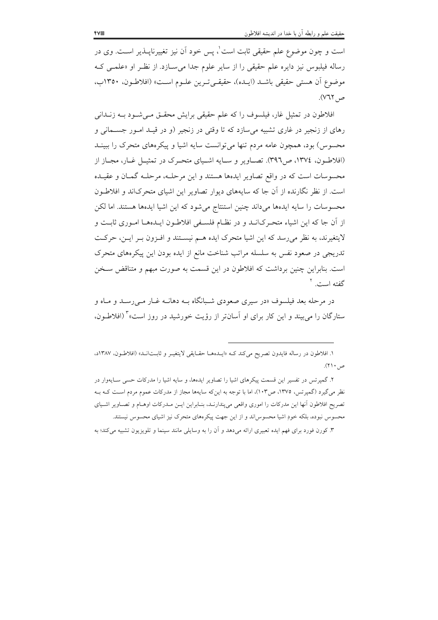است و چون موضوع علم حقیقی ثابت است ْ، پس خود اَن نیز تغییرناپــذیر اســت. وی در رساله فیلبوس نیز دایره علم حقیقی را از سایر علوم جدا می سازد. از نظـر او «علمـی کـه موضوع أن هستي حقيقي باشـد (ايـده)، حقيقـيتـرين علــوم اســت» (افلاطــون، ١٣٥٠ب، ص ٧٦٢).

افلاطون در تمثیل غار، فیلسوف را که علم حقیقی برایش محقــق مــیشــود بــه زنــدانی رهای از زنجیر در غاری تشبیه میسازد که تا وقتی در زنجیر (و در قیـد امـور جسـمانی و محسوس) بود، همچون عامه مردم تنها میٍ توانست سایه اشیا و پیکرههای متحرک را ببینــد (افلاطـون، ١٣٧٤، ص٣٩٦). تصـاوير و سـايه اشـياي متحـرک در تمثيـل غـار، مجـاز از محسوسات است كه در واقع تصاوير ايدهها هستند و اين مرحلـه، مرحلـه گمـان و عقيـده است. از نظر نگارنده از آن جا که سایههای دیوار تصاویر این اشیای متحرکاند و افلاطون محسوسات را سایه ایدهها میداند چنین استنتاج میشود که این اشیا ایدهها هستند. اما لکن از أن جا كه اين اشياء متحـركانــد و در نظــام فلســفي افلاطــون ايــدههــا امــورى ثابــت و لایتغیرند، به نظر میرسد که این اشیا متحرک ایده هـم نیسـتند و افـزون بـر ایـن، حرکـت تدریجی در صعود نفس به سلسله مراتب شناخت مانع از ایده بودن این پیکرههای متحرک است. بنابراین چنین برداشت که افلاطون در این قسمت به صورت مبهم و متناقض سـخن گفته است. <sup>۲</sup>

در مرحله بعد فیلسوف «در سیری صعودی شـبانگاه بــه دهانــه غــار مــیرســد و مــاه و ستارگان را می بیند و این کار برای او آسانتر از رؤیت خورشید در روز است»<sup>۲</sup> (افلاطـون.

١. افلاطون در رساله فايدون تصريح مي كند كـه «ايـدههـا حقـايقى لايتغيـر و ثابـتانـد» (افلاطـون، ١٣٨٧د، ص ۲۱۰).

۲. گمیر تس در تفسیر این قسمت پیکرهای اشیا را تصاویر ایدهها، و سایه اشیا را مدرکات حسی سـایهوار در نظر می گیرد (گمیرتس، ۱۳۷۵، ص۱۰۳)، اما با توجه به اینکه سایهها مجاز از مدرکات عموم مردم اسـت کــه بــه تصريح افلاطون أنها اين مدركات را اموري واقعي مي¢ندارنـد، بنـابراين ايــن مــدركات اوهــام و تصــاوير اشــياي محسوس نبوده، بلکه خودِ اشیا محسوس اند و از این جهت پیکرههای متحرک نیز اشیای محسوس نیستند.

۳. کورن فورد برای فهم ایده تعبیری ارائه میدهد و آن را به وسایلی مانند سینما و تلویزیون تشبیه میکند؛ به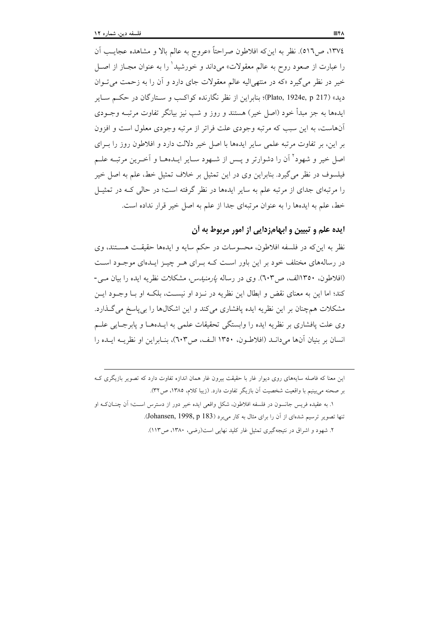١٣٧٤، ص٥١٦). نظر به اين٤د افلاطون صراحتاً «عروج به عالم بالا و مشاهده عجايب آن را عبارت از صعود روح به عالم معقولات» میداند و خورشید<sup>\</sup> را به عنوان مجــاز از اصــل خیر در نظر میگیرد «که در منتهیالیه عالم معقولات جای دارد و آن را به زحمت می توان ديد» (Plato, 1924e, p 217)؛ بنابراين از نظر نگارنده كواكـب و ســتارگان در حكــم ســاير ایدهها به جز مبدأ خود (اصل خیر) هستند و روز و شب نیز بیانگر تفاوت مرتبـه وجــودی آنهاست، به این سبب که مرتبه وجودی علت فراتر از مرتبه وجودی معلول است و افزون بر این، بر تفاوت مرتبه علمی سایر ایدهها با اصل خیر دلالت دارد و افلاطون روز را بـرای اصل خیر و شهود<sup>۲</sup> آن را دشوارتر و پـس از شـهود سـایر ایـدهمـا و آخـرین مرتبـه علـم فیلسوف در نظر می گیرد. بنابراین وی در این تمثیل بر خلاف تمثیل خط، علم به اصل خیر را مرتبهای جدای از مرتبه علم به سایر ایدهها در نظر گرفته است؛ در حالی کـه در تمثیــل خط، علم به ایدهها را به عنوان مرتبهای جدا از علم به اصل خیر قرار نداده است.

## ايده علم و تبيين و ابهامزدايي از امور مربوط به آن

نظر به این که در فلسفه افلاطون، محسوسات در حکم سایه و ایدهها حقیقت هستند، وی در رسالههای مختلف خود بر این باور است کـه بـرای هـر چیـز ایـدهای موجـود اسـت (افلاطون، ۱۳۵۰الف، ص۲۰۳). وی در رساله *پارمنیدس،* مشکلات نظریه ایده را بیان مـی-کند؛ اما این به معنای نقض و ابطال این نظریه در نـزد او نیسـت، بلکـه او بــا وجـود ایــن مشکلات همچنان بر این نظریه ایده پافشاری میکند و این اشکالها را بی پاسخ میگذارد. وی علت یافشاری بر نظریه ایده را وابستگی تحقیقات علمی به ایــدهمـا و پابرجـایی علــم انسان بر بنيان آنها مي دانـد (افلاطـون، ١٣٥٠ الـف، ص٦٠٣)، بنـابراين او نظريــه ايــده را

۲. شهود و اشراق در نتیجهگیری تمثیل غار کلید نهایی است(رضی، ۱۳۸۰، ص۱۱۳).

این معنا که فاصله سایههای روی دیوار غار با حقیقت بیرون غار همان اندازه تفاوت دارد که تصویر بازیگری ک بر صحنه مي بينيم با واقعيت شخصيت آن بازيگر تفاوت دارد. (زيبا كلام، ١٣٨٥، ص٣٢).

١. به عقيده فريس جانسون در فلسفه افلاطون، شكل واقعي ايده خير دور از دسترس است؛ أن چنــانكــه او تنها تصوير ترسيم شدهاي از آن را براي مثال به كار مي برد (Johansen, 1998, p 183).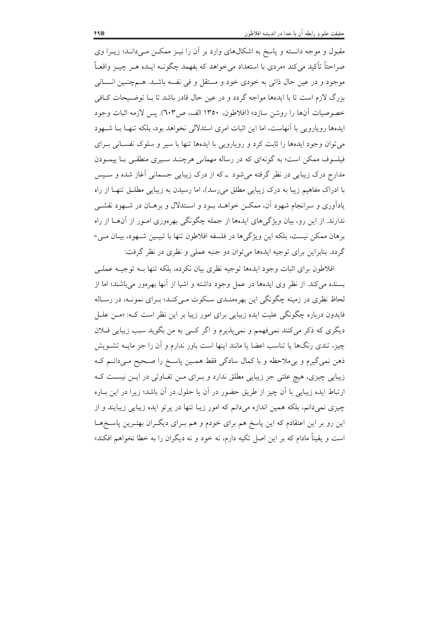مقبول و موجه دانسته و پاسخ به اشکالهای وارد بر آن را نیـز ممکـن مـیدانـد؛ زیـرا وی صراحتاً تأکید میکند «مردی با استعداد میخواهد که بفهمد چگونـه ایــده هــر چیــز واقعــاً موجود و در عین حال ذاتی به خودی خود و مستقل و فی نفسه باشـد. هـمچنـین انسـانی بزرگ لازم است تا با ایدهها مواجه گردد و در عین حال قادر باشد تا بـا توضـیحات کـافی خصوصيات آنها را روشن سازد» (افلاطون، ١٣٥٠ الف، ص٦٠٣). يس لازمه اثبات وجود ایدهها رویارویی با آنهاست، اما این اثبات امری استدلالی نخواهد بود، بلکه تنهـا بــا شــهود می توان وجود ایدهها را ثابت کرد و رویارویی با ایدهها تنها با سیر و سلوک نفسـانی بـرای فیلسوف ممکن است؛ به گونهای که در رساله *مهمانی هرچنـد سـیری منطقـی بـا پیمـو*دن مدارج درک زیبایی در نظر گرفته میشود ــ که از درک زیبایی جسمانی آغاز شده و سـپس با ادراک مفاهیم زیبا به درک زیبایی مطلق می رسد)، اما رسیدن به زیبایی مطلـق تنهـا از راه یادآوری و سرانجام شهود آن، ممکن خواهـد بـود و اسـتدلال و برهـان در شـهود نقشـی ندارند. از این رو، بیان ویژگیهای ایدهها از جمله چگونگی بهرهوری امـور از آنهــا از راه

برهان ممکن نیست، بلکه این ویژگیها در فلسفه افلاطون تنها با تبیـین شـهود، بیـان مـی-گردد. بنابراین برای توجیه ایدهها میتوان دو جنبه عملی و نظری در نظر گرفت:

افلاطون برای اثبات وجود ایدهها توجیه نظری بیان نکرده، بلکه تنها بــه توجیــه عملــی بسنده می کند. از نظر وی ایدهها در عمل وجود داشته و اشیا از آنها بهرهور می باشند؛ اما از لحاظ نظری در زمینه چگونگی این بهرهمنـدی سـکوت مـی کنـد؛ بـرای نمونـه، در رسـاله فایدون درباره چگونگی علیت ایده زیبایی برای امور زیبا بر این نظر است که: «مــن علــل دیگری که ذکر می کنند نمی،فهمم و نمی،پذیرم و اگر کسی به من بگوید سبب زیبایی فــلان چیز، تندی رنگها یا تناسب اعضا یا مانند اینها است باور ندارم و آن را جز مایــه تشــویش ذهن نمي گيرم و بي ملاحظه و با كمال سادگي فقط همـين پاسـخ را صـحيح مـي دانـم كـه زیبایی چیزی، هیچ علتی جز زیبایی مطلق ندارد و بـرای مـن تفـاوتی در ایـن نیسـت کـه ارتباط ایده زیبایی با آن چیز از طریق حضور در آن یا حلول در آن باشد؛ زیرا در این بـاره چیزی نمیدانم، بلکه همین اندازه میدانم که امور زیبا تنها در پرتو ایده زیبایی زیبایند و از این رو بر این اعتقادم که این پاسخ هم برای خودم و هم بـرای دیگـران بهتـرین پاسـخهـا است و یقیناً مادام که بر این اصل تکیه دارم، نه خود و نه دیگران را به خطا نخواهم افکند»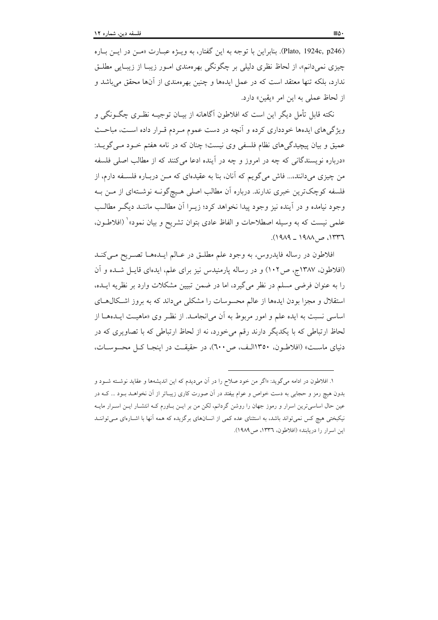(Plato, 1924c, p246). بنابراين با توجه به اين گفتار، به ويـژه عبـارت «مـن در ايـن بـاره چیزی نمیدانم»، از لحاظ نظری دلیل<sub>ی</sub> بر چگونگی بهرهمندی امـور زیبـا از زیبـایی مطلـق ندارد، بلکه تنها معتقد است که در عمل ایدهها و چنین بهرهمندی از آنها محقق میباشد و از لحاظ عملي به اين امر «يقين» دارد.

نکته قابل تأمل دیگر این است که افلاطون آگاهانه از بیـان توجیــه نظـری چگــونگی و ویژگیهای ایدهها خودداری کرده و آنچه در دست عموم مـردم قـرار داده اسـت، مباحـث عمیق و بیان پیچیدگیهای نظام فلسفی وی نیست؛ چنان که در نامه هفتم خـود مـی گویــد: «درباره نویسندگانی که چه در امروز و چه در آینده ادعا می کنند که از مطالب اصلی فلسفه من چیزی میدانند.... فاش می گویم که آنان، بنا به عقیدهای که مــن دربــاره فلســفه دارم، از فلسفه کوچکترین خبری ندارند. درباره آن مطالب اصلی هـیچگونــه نوشــتهای از مــن بــه وجود نیامده و در آینده نیز وجود پیدا نخواهد کرد؛ زیــرا آن مطالــب ماننــد دیگــر مطالــب علمی نیست که به وسیله اصطلاحات و الفاظ عادی بتوان تشریح و بیان نمود»` (افلاطـون،  $(1919 - 1911, 201)$ ۰۱۳۳۶.

افلاطون در رساله فايدروس، به وجود علم مطلـق در عـالم ايــدههـا تصـريح مـي كنــد (افلاطون، ۱۳۸۷ج، ص۱۰۲) و در رساله پارمنیدس نیز برای علم، ایدهای قایـل شـده و آن را به عنوان فرضی مسلم در نظر می گیرد، اما در ضمن تبیین مشکلات وارد بر نظریه ایــده، استقلال و مجزا بودن ایدهها از عالم محسوسات را مشکلی میداند که به بروز اشکال های اساسی نسبت به ایده علم و امور مربوط به آن می|نجامـد. از نظـر وی «ماهیـت ایــدههــا از لحاظ ارتباطی که با یکدیگر دارند رقم می خورد، نه از لحاظ ارتباطی که با تصاویری که در دنیای ماست» (افلاطون، ۱۳۵۰الف، ص ٦٠٠)، در حقیقت در اینجـا کـل محسوسـات،

١. افلاطون در ادامه مي گويد: «اگر من خود صلاح را در آن ميديدم كه اين انديشهها و عقايد نوشـته شـود و بدون هیچ رمز و حجابی به دست خواص و عوام بیفتد در آن صورت کاری زیبـاتر از آن نخواهــد بــود ... کــه در عین حال اساسی ترین اسرار و رموز جهان را روشن گردانم، لکن من بر ایــن بــاورم کــه انتشــار ایــن اســرار مایــه نیکبختی هیچ کس نمیتواند باشد، به استثنای عده کمی از انسانهای برگزیده که همه آنها با اشـارهای مـیتواننـد این اسرار را دریابند» (افلاطون، ١٣٣٦، ص1٩٨٩).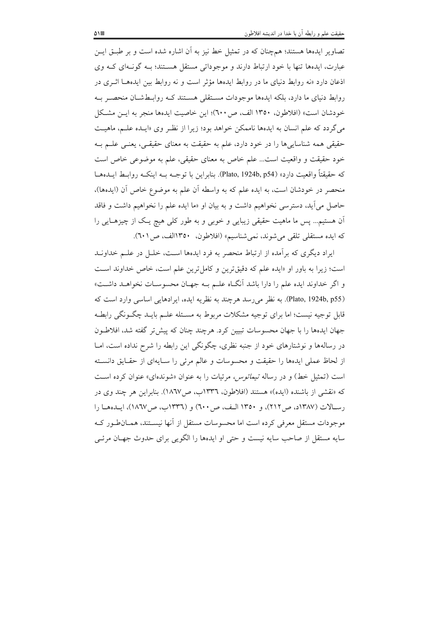تصاویر ایدهها هستند؛ همچنان که در تمثیل خط نیز به آن اشاره شده است و بر طبـق ایـن عبارت، ایدهها تنها با خود ارتباط دارند و موجوداتی مستقل هسـتند؛ بــه گونــهای کــه وی اذعان دارد «نه روابط دنیای ما در روابط ایدهها مؤثر است و نه روابط بین ایدههـا اثـری در روابط دنیای ما دارد، بلکه ایدهها موجودات مسـتقلی هسـتند کـه روابــطشــان منحصــر بــه خودشان است» (افلاطون، ١٣٥٠ الف، ص ٦٠٠)؛ اين خاصيت ايدهها منجر به ايـن مشكل می گردد که علم انسان به ایدهها ناممکن خواهد بود؛ زیرا از نظر وی «ایـده علـم، ماهیـت حقیقی همه شناسایی ها را در خود دارد، علم به حقیقت به معنای حقیقی، یعنبی علــم بــه خود حقیقت و واقعیت است... علم خاص به معنای حقیقی، علم به موضوعی خاص است كه حقيقتاً واقعيت دارد» (Plato, 1924b, p54). بنابراين با توجــه بــه اينكــه روابــط ايــدههــا منحصر در خودشان است، به ایده علم که به واسطه آن علم به موضوع خاص آن (ایدهها)، حاصل می آید، دسترسی نخواهیم داشت و به بیان او «ما ایده علم را نخواهیم داشت و فاقد اّن هستیم… پس ما ماهیت حقیقی زیبایی و خوبی و به طور کلی هیچ پـک از چیزهـایی را كه ايده مستقلى تلقى مى شوند، نمى شناسيم» (افلاطون، ١٣٥٠الف، ص (٦٠١).

ایراد دیگری که بر آمده از ارتباط منحصر به فرد ایدهها است، خلـل در علـم خداونـد است؛ زیرا به باور او «ایده علم که دقیقترین و کامل ترین علم است، خاص خداوند است و اگر خداوند ایده علم را دارا باشد آنگIه علـم بـه جهـان محسوسـات نخواهـد داشـت» (Plato, 1924b, p55). به نظر می رسد هر چند به نظریه ایده، ایر ادهایی اساسی وارد است که قابل توجیه نیست؛ اما برای توجیه مشکلات مربوط به مسـئله علـم بایـد چگـونگـی رابطـه جهان ایدهها را با جهان محسوسات تبیین کرد. هرچند چنان که پیش تر گفته شد، افلاطون در رسالهها و نوشتارهای خود از جنبه نظری، چگونگی این رابطه را شرح نداده است، امــا از لحاظ عملي ايدهها را حقيقت و محسوسات و عالم مرئي را سـايهاي از حقـايق دانسـته است (تمثيل خط) و در رساله *تيمائوس، مرئيات را به عنوان «شوندهاي» عنوان ك*رده است که «نقشی از باشنده (ایده)» هستند (افلاطون، ۱۳۳۲ب، ص۱۸٦۷). بنابراین هر چند وی در رسالات (١٣٨٧د، ص ٢١٢)، و ١٣٥٠ اليف، ص ٦٠٠) و (١٣٣٦ب، ص١٨٦٧)، ايبدهما را موجودات مستقل معرفی کرده است اما محسوسات مستقل از آنها نیسـتند، همـان طـور کـه سایه مستقل از صاحب سایه نیست و حتی او ایدهها را الگویی برای حدوث جهـان مرئـی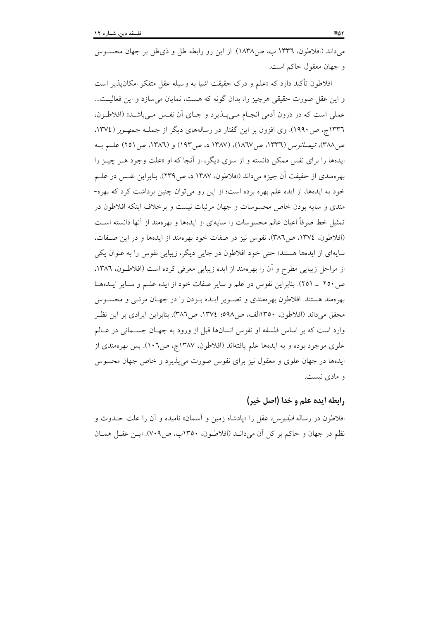می داند (افلاطون، ۱۳۳٦ ب، ص۱۸۳۸). از این رو رابطه ظل و ذی ظل بر جهان محســوس و جهان معقول حاکم است.

افلاطون تأكيد دارد كه «علم و درك حقيقت اشيا به وسيله عقل متفكر امكان يذير است و این عقل صورت حقیقی هرچیز را، بدان گونه که هست، نمایان می سازد و این فعالیت... عملي است كه در درون أدمى انجـام مـي يــذيرد و جــاى أن نفـس مـي باشــد» (افلاطــون، ۱۳۳٦ ج، ص ۱۹۹۰). وی افزون بر این گفتار در رسالههای دیگر از جملـه *جمهـور (*۱۳۷٤). ص ٣٨٨)، تيمــائوس (١٣٣٦، ص ١٨٦٧)، (١٣٨٧ د، ص ١٩٣) و (١٣٨٦، ص ٢٥١) علــم بــه ایدهها را برای نفس ممکن دانسته و از سوی دیگر، از آنجا که او «علت وجود هـر چیـز را بهر ممندي از حقيقت آن چيز» مي<اند (افلاطون، ١٣٨٧ د، ص٢٣٩). بنابراين نفس در علــم خود به ایدهها، از ایده علم بهره برده است؛ از این رو می توان چنین برداشت کرد که بهره-مندی و سایه بودن خاص محسوسات و جهان مرئیات نیست و برخلاف اینکه افلاطون در تمثيل خط صرفاً اعيان عالم محسوسات را سايهاي از ايدهها و بهرهمند از آنها دانسته اسـت (افلاطون، ١٣٧٤، ص٣٨٦)، نفوس نيز در صفات خود بهرهمند از ايدهها و در اين صفات، سایهای از ایدهها هستند؛ حتی خود افلاطون در جایی دیگر، زیبایی نفوس را به عنوان یکی از مراحل زیبایی مطرح و آن را بهرهمند از ایده زیبایی معرفی کرده است (افلاطون، ۱۳۸۲، ص ٢٥٠ \_ ٢٥١). بنابراين نفوس در علم و ساير صفات خود از ايده علـم و سـاير ايــدهمـا بهر ممند هستند. افلاطون بهر ممندي و تصـوير ايــده بــودن را در جهــان مرئــي و محســوس محقق میداند (افلاطون. ۱۳۵۰الف، ص۹۸۸؛ ۱۳۷٤، ص۳۸٦). بنابراین ایرادی بر این نظـر وارد است که بر اساس فلسفه او نفوس انسانها قبل از ورود به جهـان جســمانی در عــالم علوی موجود بوده و به ایدهها علم یافتهاند (افلاطون، ۱۳۸۷ج، ص۱۰۲). پس بهرهمندی از ایدهها در جهان علوی و معقول نیز برای نفوس صورت می پذیرد و خاص جهان محسوس و مادي نيست.

#### رابطه ايده علم و خدا (اصل خير)

افلاطون در رساله *فیلبوس، عق*ل را «پادشاه زمین و آسمان» نامیده و آن را علت حـدوث و نظم در جهان و حاکم بر کل اَن میدانــد (افلاطــون، ۱۳۵۰ب، ص۷۰۹). ایــن عقــل همــان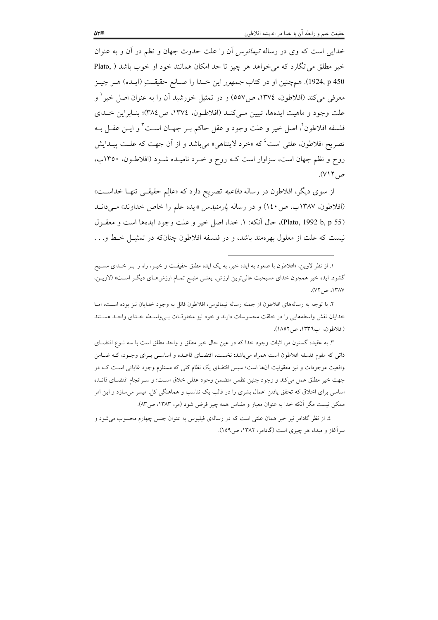خدای<sub>ه،</sub> است که وی در رساله *تیمائوس* آن را علت حدوث جهان و نظم در آن و به عنوان خیر مطلق میانگارد که می خواهد هر چیز تا حد امکان همانند خود او خوب باشد ( Plato, 1924, p 450). همچنین او در کتاب *جمهور* این خـدا را صـانع حقیقـتِ (ایـده) هـر چیـز معرفی می کند (افلاطون، ١٣٧٤، ص٥٥٧) و در تمثیل خورشید آن را به عنوان اصل خیر ' و علت وجود و ماهيت ايدهها، تبيين مـي كنـد (افلاطـون، ١٣٧٤، ص٣٨٤)؛ بنـابراين خـداي فلسفه افلاطون ٌ، اصل خير و علت وجود و عقل حاكم بـر جهـان اسـت ٌ و ايــن عقــل بــه تصریح افلاطون، علتی است<sup>؛</sup> که «خرد لایتناهی» می باشد و از آن جهت که علـت پیـدایش روح و نظم جهان است، سزاوار است کـه روح و خـرد نامیـده شـود (افلاطـون، ۱۳۵۰ب، ص ۷۱۲).

از سوی دیگر، افلاطون در رساله *دفاعیه* تصریح دارد که «عالِم حقیقـی تنهـا خداسـت» (افلاطون، ۱۳۸۷ب، ص ۱٤۰) و در رساله *پارمنیدس* «ایده علم را خاص خداوند» م<sub>حی</sub>دانـد (Plato, 1992 b, p 55)، حال آنكه: ١. خدا، اصل خير و علت وجود ايدهها است و معقـول نیست که علت از معلول بهرهمند باشد، و در فلسفه افلاطون چنانکه در تمثیـل خـط و. . .

۳. به عقیده گستون مر، اثبات وجود خدا که در عین حال خیر مطلق و واحد مطلق است با سه نــوع اقتضــای ذاتی که مقوم فلسفه افلاطون است همراه میباشد: نخست، اقتضـای قاعـده و اساســی بــرای وجــود، کــه ضــامن واقعیت موجودات و نیز معقولیت آنها است؛ سپس اقتضای یک نظام کلی که مستلزم وجود غایاتی اسـت کــه در جهت خير مطلق عمل مي كند و وجود چنين نظمي متضمن وجود عقلي خلاق است؛ و سـرانجام اقتضـاي قائــده اساسی برای اخلاق که تحقق یافتن اعمال بشری را در قالب یک تناسب و هماهنگی کل، میسر می سازد و این امر ممکن نیست مگر آنکه خدا به عنوان معیار و مقیاس همه چیز فرض شود (مر، ۱۳۸۳، ص۸۳).

٤. از نظر گادامر نيز خير همان علتي است كه در رسالهي فيلبوس به عنوان جنس چهارم محسوب مي شود و سرآغاز و مبداء هر چیزی است (گادامر، ۱۳۸۲، ص۱۵۹).

۱. از نظر لاوین، «افلاطون با صعود به ایده خیر، به یک ایده مطلق حقیقـت و خیـر، راه را بـر خـدای مسـیح گشود. ایده خیر همچون خدای مسیحیت عالیترین ارزش، یعنمی منبع تمـام ارزشهـای دیگـر اسـت» (لاویـن، ١٣٨٧، ص ٧٢).

۲. با توجه به رسالههای افلاطون از جمله رساله تیمائوس، افلاطون قائل به وجود خدایان نیز بوده است، امــا خدایان نقش واسطههایی را در خلقت محسوسات دارند و خود نیز مخلوقیات بےواسطه خلدای واحلد هستند (افلاطون، ب١٣٣٦، ص١٨٥٢).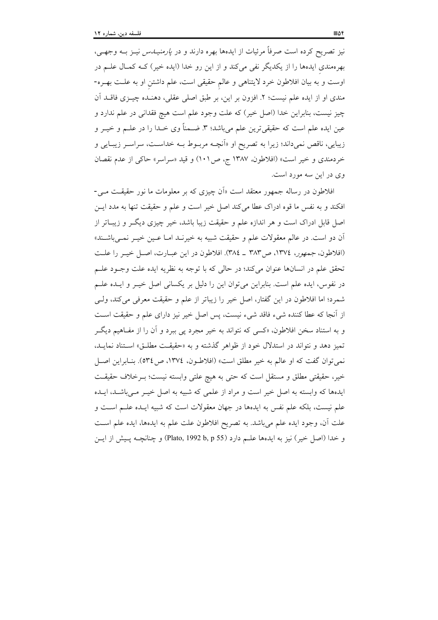نیز تصریح کرده است صرفاً مرئیات از ایدهها بهره دارند و در *پارمنیــدس* نیــز بــه وجهــی، بهرهمندی ایدهها را از یکدیگر نفی میکند و از این رو خدا (ایده خیر) کــه کمــال علــم در اوست و به بیان افلاطون خرد لایتناهی و عالم حقیقی است، علم داشتن او به علــت بهــره-مندي او از ايده علم نيست؛ ٢. افزون بر اين، بر طبق اصلي عقلي، دهنـده چيــزي فاقــد آن چيز نيست، بنابراين خدا (اصل خير) كه علت وجود علم است هيچ فقداني در علم ندارد و عین ایده علم است که حقیقیترین علم میباشد؛ ۳. ضـمناً وی خـدا را در علــم و خیــر و زیبایی، ناقص نمیداند؛ زیرا به تصریح او «اَنچـه مربـوط بـه خداسـت، سراسـر زیبـایی و خردمندي و خير است» (افلاطون، ١٣٨٧ ج، ص١٠١) و قيد «سراسر» حاكي از عدم نقصان وي در اين سه مورد است.

افلاطون در رساله جمهور معتقد است «اَن چیزی که بر معلومات ما نور حقیقـت مـی-افكند و به نفس ما قوه ادراك عطا مى كند اصل خير است و علم و حقيقت تنها به مدد ايـن اصل قابل ادراک است و هر اندازه علم و حقیقت زیبا باشد، خیر چیزی دیگـر و زیبــاتر از آن دو است. در عالم معقولات علم و حقیقت شبیه به خیرنـد امـا عـین خیـر نمـیباشـند» (افلاطون، جمهور، ١٣٧٤، ص٣٨٣ \_ ٣٨٤). افلاطون در اين عبـارت، اصـل خيـر را علـت تحقق علم در انسانها عنوان میکند؛ در حالی که با توجه به نظریه ایده علت وجـود علـم در نفوس، ایده علم است. بنابراین میتوان این را دلیل بر یکسانی اصل خیـر و ایــده علــم شمرد؛ اما افلاطون در این گفتار، اصل خیر را زیباتر از علم و حقیقت معرفی میکند، ولـی از آنجا که عطا کننده شیء فاقد شیء نیست، پس اصل خیر نیز دارای علم و حقیقت است و به استناد سخن افلاطون، «کسی که نتواند به خیر مجرد پی ببرد و آن را از مفـاهیم دیگـر تمیز دهد و نتواند در استدلال خود از ظواهر گذشته و به «حقیقت مطلـق» اسـتناد نمایـد، نمي توان گفت كه او عالم به خير مطلق است» (افلاطـون، ١٣٧٤، ص١٣٤). بنـابراين اصـل خیر، حقیقتی مطلق و مستقل است که حتی به هیچ علتی وابسته نیست؛ بــرخلاف حقیقــت ایدهها که وابسته به اصل خیر است و مراد از علمی که شبیه به اصل خیـر مـیباشـد، ایـده علم نيست، بلكه علم نفس به ايدهها در جهان معقولات است كه شبيه ايـده علــم اســت و علت آن، وجود ايده علم مي!شد. به تصريح افلاطون علت علم به ايدهها، ايده علم اسـت و خدا (اصل خیر) نیز به ایدهها علــم دارد (Plato, 1992 b, p 55) و چنانچــه پــیش از ایــن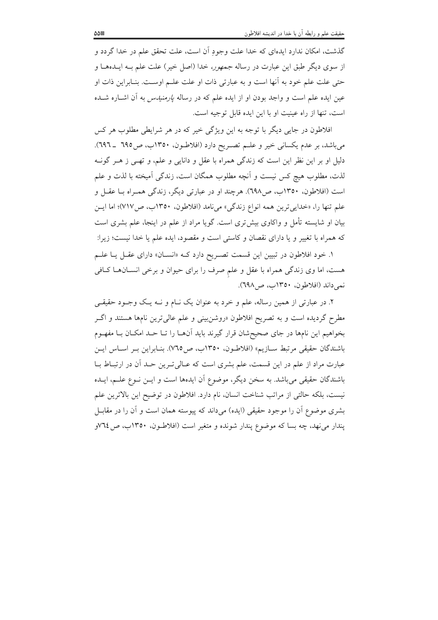گذشت، امکان ندارد ایدهای که خدا علت وجود آن است، علت تحقق علم در خدا گردد و از سوی دیگر طبق این عبارت در رساله *جمهور، خدا (اصل خیر) علت علم بـه ایــدههــا و* حتی علت علم خود به آنها است و به عبارتی ذات او علت علـم اوسـت. بنـابراین ذات او عین ایده علم است و واجد بودن او از ایده علم که در رساله *پارمنیدس* به آن اشـاره شــده است، تنها از راه عینیت او با این ایده قابل توجیه است.

افلاطون در جایی دیگر با توجه به این ویژگی خیر که در هر شرایطی مطلوب هر کس مي باشد، بر عدم يكساني خير و علــم تصــريح دارد (افلاطــون، ١٣٥٠ب، ص١٩٥ ــ ٦٩٦). دلیل او بر این نظر این است که زندگی همراه با عقل و دانایی و علم، و تهـی ز هــر گونــه لذت، مطلوب هيچ كس نيست و آنچه مطلوب همگان است، زندگي آميخته با لذت و علم است (افلاطون، ۱۳۵۰ب، ص۹۹۸). هرچند او در عبارتی دیگر، زندگی همـراه بـا عقـل و علم تنها را، «خدايي ترين همه انواع زندگي» مي نامد (افلاطون، ١٣٥٠ب، ص٧١٧)؛ اما ايــن بیان او شایسته تأمل و واکاوی بیشتری است. گویا مراد از علم در اینجا، علم بشری است که همراه با تغییر و یا دارای نقصان و کاستی است و مقصود، ایده علم یا خدا نیست؛ زیرا:

۱. خود افلاطون در تبیین این قسمت تصـریح دارد کـه «انســان» دارای عقــل یــا علــم هست، اما وي زندگي همراه با عقل و علم صرف را براي حيوان و برخي انســانهــا كــافي نمي داند (افلاطون، ١٣٥٠ب، ص١٩٨).

۲. در عبارتی از همین رساله، علم و خرد به عنوان یک نـام و نـه یـک وجـود حقیقـی مطرح گردیده است و به تصریح افلاطون «روشنبینی و علم عالی ترین نامها هستند و اگـر بخواهیم این نامها در جای صحیحشان قرار گیرند باید آنهـا را تـا حـد امکـان بـا مفهـوم باشندگان حقیقی مرتبط ســازیم» (افلاطـون، ١٣٥٠ب، ص٢٧٥). بنــابراین بــر اســاس ایــن عبارت مراد از علم در این قسمت، علم بشری است که عـالی تـرین حـد آن در ارتبـاط بـا باشندگان حقیقی می باشد. به سخن دیگر، موضوع آن ایدهها است و ایــن نــوع علــم، ایــده نيست، بلكه حالتي از مراتب شناخت انسان، نام دارد. افلاطون در توضيح اين بالاترين علم بشری موضوع آن را موجود حقیقی (ایده) میداند که پیوسته همان است و آن را در مقابـل یندار می نهد، چه بسا که موضوع پندار شونده و متغیر است (افلاطون، ۱۳۵۰ب، ص۱۲۵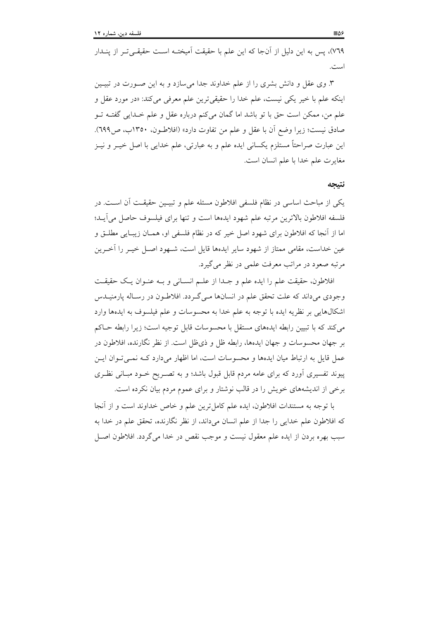٧٦٩)، پس به این دلیل از آنجا که این علم با حقیقت آمیختـه اسـت حقیقـی تـر از پنــدار است.

۳. وی عقل و دانش بشری را از علم خداوند جدا میسازد و به این صـورت در تبیـین اينكه علم با خير يكي نيست، علم خدا را حقيقي ترين علم معرفي مي كند: «در مورد عقل و علم من، ممكن است حق با تو باشد اما گمان مىكنم درباره عقل و علم خـدايى گفتــه تــو صادق نيست؛ زيرا وضع أن با عقل و علم من تفاوت دارد» (افلاطـون، ١٣٥٠ب، ص٦٩٩). این عبارت صراحتاً مستلزم یکسانی ایده علم و به عبارتی، علم خدایی با اصل خیــر و نیــز مغايرت علم خدا با علم انسان است.

#### نتبجه

يكي از مباحث اساسي در نظام فلسفي افلاطون مسئله علم و تبيـين حقيقـت أن اسـت. در فلسفه افلاطون بالاترين مرتبه علم شهود ايدهها است و تنها براى فيلسوف حاصل مى آيـد؛ اما از أنجا كه افلاطون براي شهود اصل خير كه در نظام فلسفي او، همـان زيبـايي مطلــق و عین خداست، مقامی ممتاز از شهود سایر ایدهها قایل است، شـهود اصـل خیـر را آخـرین مرتبه صعود در مراتب معرفت علمی در نظر می گیرد.

افلاطون، حقيقت علم را ايده علم و جـدا از علـم انسـاني و بـه عنـوان يـك حقيقـت وجودی میداند که علت تحقق علم در انسانها مـیگـردد. افلاطـون در رسـاله پارمنيــدس اشكالهايي بر نظريه ايده با توجه به علم خدا به محسوسات و علم فيلسوف به ايدهها وارد می کند که با تبیین رابطه ایدههای مستقل با محسوسات قابل توجیه است؛ زیرا رابطه حــاکم بر جهان محسوسات و جهان ايدهها، رابطه ظل و ذي ظل است. از نظر نگارنده، افلاطون در عمل قایل به ارتباط میان ایدهها و محسوسات است، اما اظهار میدارد کـه نمـی تـوان ایـن پیوند تفسیری أورد که برای عامه مردم قابل قبول باشد؛ و به تصـریح خـود مبـانی نظـری برخی از اندیشههای خویش را در قالب نوشتار و برای عموم مردم بیان نکرده است.

با توجه به مستندات افلاطون، ايده علم كامل ترين علم و خاص خداوند است و از آنجا كه افلاطون علم خدايي را جدا از علم انسان ميداند، از نظر نگارنده، تحقق علم در خدا به سبب بهره بردن از ايده علم معقول نيست و موجب نقص در خدا مي گردد. افلاطون اصـل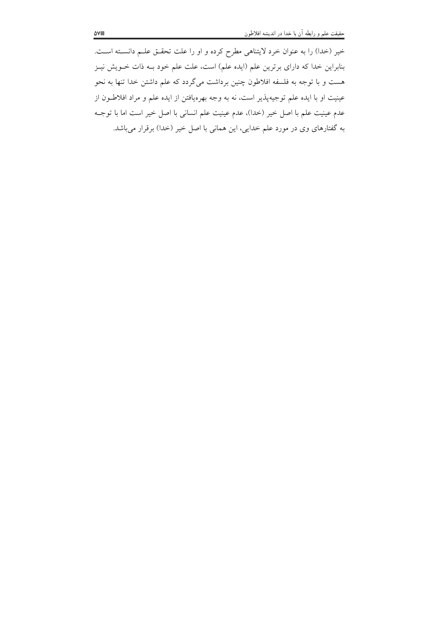خیر (خدا) را به عنوان خرد لایتناهی مطرِح کرده و او را علت تحقــق علــم دانســته اســت. بنابراین خدا که دارای برترین علم (ایده علم) است، علت علم خود بــه ذات خــویش نیــز هست و با توجه به فلسفه افلاطون چنین برداشت میگردد که علم داشتن خدا تنها به نحو عینیت او با ایده علم توجیهپذیر است، نه به وجه بهرهیافتن از ایده علم و مراد افلاطــون از عدم عينيت علم با اصل خير (خدا)، عدم عينيت علم انساني با اصل خير است اما با توجــه به گفتارهای وی در مورد علم خدایی، این همانی با اصل خیر (خدا) برقرار میباشد.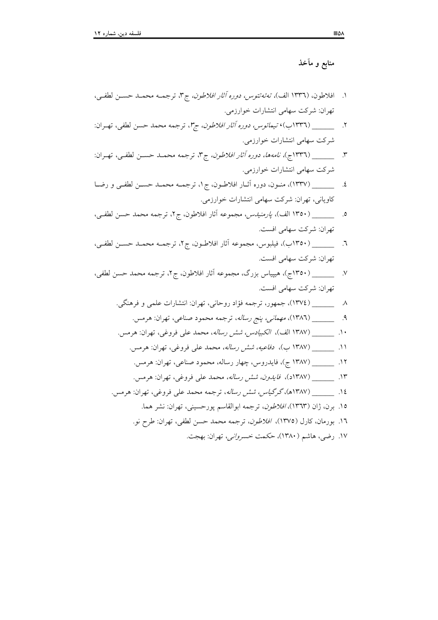منابع و مآخذ